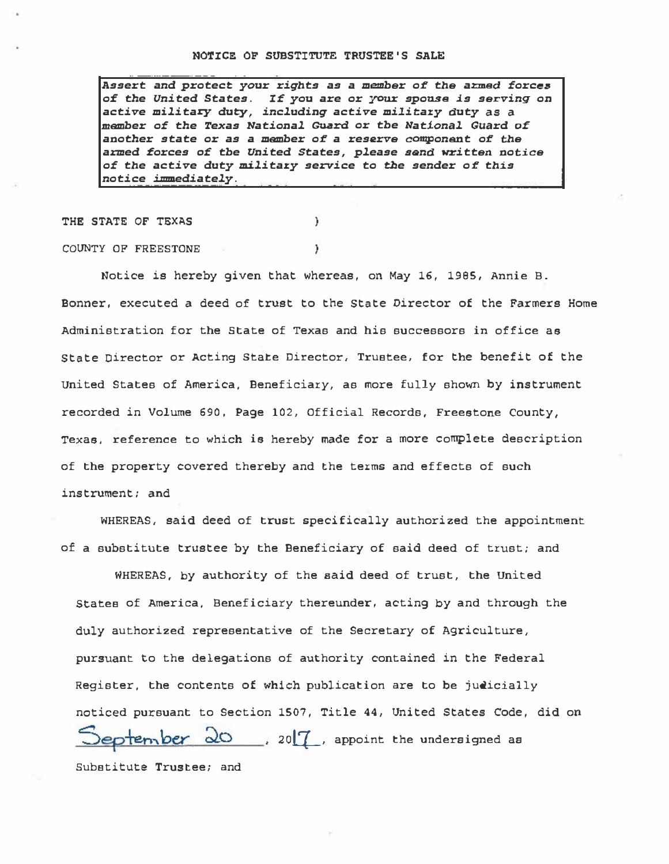Assert and protect your rights as a member of the armed forces of the United States. If you are or your spouse is serving on active military duty, including active military duty as a member of the Texas National Guard or tbe National Guard of another state or as a member of a reserve component of the armed forces of the United States, please send written notice of the active duty military service to the sender of this notice immediately.

 $\mathbf{1}$ 

١

THE STATE OF TEXAS

COUNTY OF FREESTONE

Notice is hereby given that whereas, on May 16, 1995, Annie B. Bonner, executed a deed of trust to the State Director of the Farmers Home Administration for the State of Texas and his successors in office as State Director or Acting State Director, Trustee, for the benefit of the united States of America, Beneficiary, as more fully shown by instrument recorded in Volume 690, Page 102, Official Records, Freestone County, Texas, reference to which is hereby made for a more complete description of the property covered thereby and the terms and effects of such instrument: and

WHEREAS, said deed of trust specifically authorized the appointment of a substitute trustee by the Beneficiary of said deed of trust; and

WHEREAS, by authority of the said deed of trust, the United States of America, Beneficiary thereunder, acting by and through the duly authorized representative of the Secretary of Agriculture, pursuant to the delegations of authority contained in the Federal Register, the contents of which publication are to be judicially noticed pursuant to Section 1507, Title 44, United States Code, did on September 20, 20<sup>7</sup>, appoint the undersigned as Substitute Trustee; and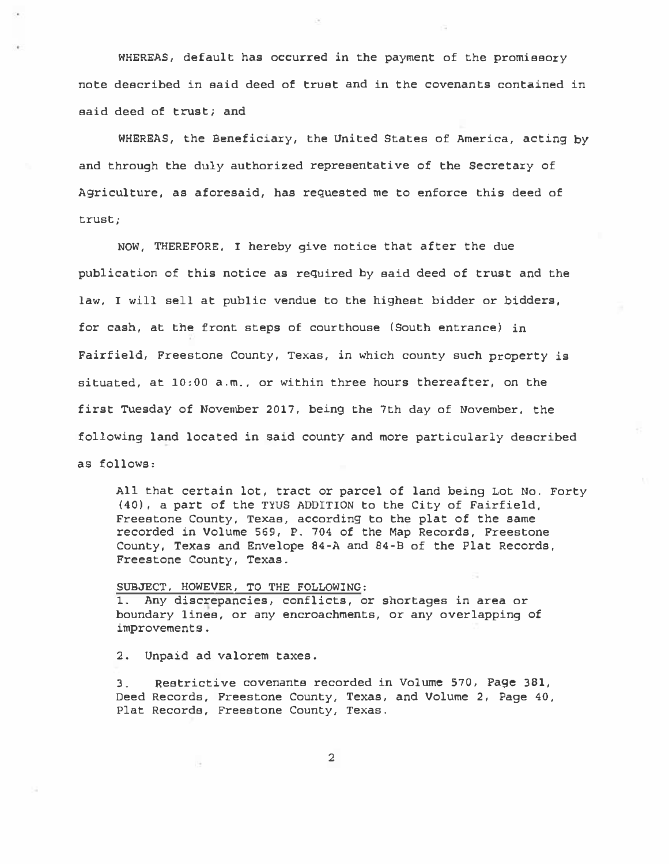WHEREAS, default has occurred in the payment of the promissory note described in said deed of trust and in the covenants contained in said deed of trust; and

WHEREAS, the Beneficiary, the United States of America, acting by and through the duly authorized representative of the Secretary of Agriculture, as aforesaid, has requested me to enforce this deed of trust;

NOW, THEREFORE, I hereby give notice that after the due publication of this notice as required by said deed of trust and the law, I will sell at public vendue to the highest bidder or bidders, for cash, at the front steps of courthouse (South entrance) in Fairfield, Freestone County, Texas, in which county such property is situated, at 10:00 a.m., or within three hours thereafter, on the first Tuesday of November 2017, being the 7th day of November, the following land located in said county and more particularly described as follows:

All that certain lot, tract or parcel of land being Lot No. Forty (40), a part of the TYUS ADDITION to the City of Fairfield. Freestone County. Texas, according to the plat of the same recorded in Volume 569, P. 704 of the Map Records, Freestone County, Texas and Envelope 84-A and 84-B of the Plat Records, Freestone County, Texas.

SUBJECT. HOWEVER, TO THE FOLLOWING: 1. Any discrepancies, conflicts, or shortages in area or boundary lines, or any encroachments, or any overlapping of improvements.

2. Unpaid ad valorem taxes.

3. Restrictive covenants recorded in Volume 570, Page 381, Deed Records, Freestone County, Texas, and Volume 2, Page 40, Plat Records, Freestone County, Texas.

2